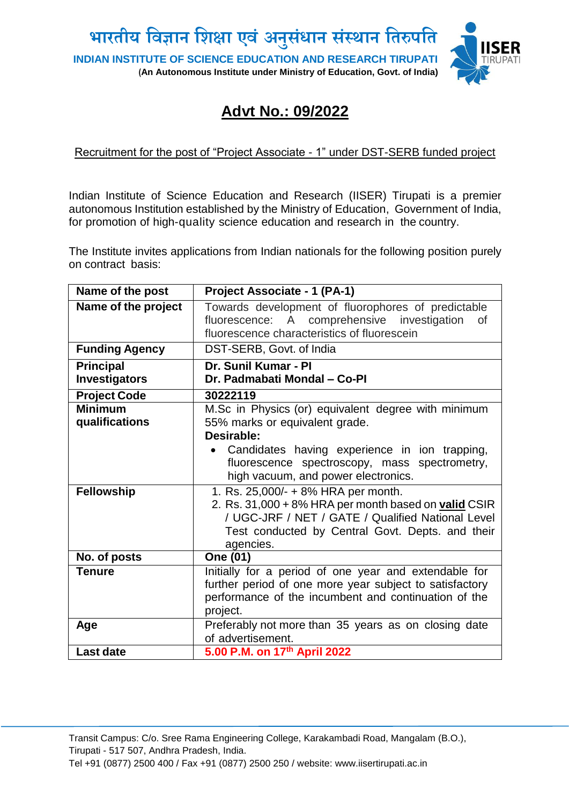

# **Advt No.: 09/2022**

#### Recruitment for the post of "Project Associate - 1" under DST-SERB funded project

Indian Institute of Science Education and Research (IISER) Tirupati is a premier autonomous Institution established by the Ministry of Education, Government of India, for promotion of high-quality science education and research in the country.

The Institute invites applications from Indian nationals for the following position purely on contract basis:

| Name of the post                                      | Project Associate - 1 (PA-1)                                                                                                                                                                                                                                                        |
|-------------------------------------------------------|-------------------------------------------------------------------------------------------------------------------------------------------------------------------------------------------------------------------------------------------------------------------------------------|
| Name of the project                                   | Towards development of fluorophores of predictable<br>fluorescence: A comprehensive investigation<br>0f<br>fluorescence characteristics of fluorescein                                                                                                                              |
| <b>Funding Agency</b>                                 | DST-SERB, Govt. of India                                                                                                                                                                                                                                                            |
| <b>Principal</b><br><b>Investigators</b>              | Dr. Sunil Kumar - PI<br>Dr. Padmabati Mondal - Co-PI                                                                                                                                                                                                                                |
| <b>Project Code</b>                                   | 30222119                                                                                                                                                                                                                                                                            |
| <b>Minimum</b><br>qualifications<br><b>Fellowship</b> | M.Sc in Physics (or) equivalent degree with minimum<br>55% marks or equivalent grade.<br>Desirable:<br>Candidates having experience in ion trapping,<br>fluorescence spectroscopy, mass spectrometry,<br>high vacuum, and power electronics.<br>1. Rs. 25,000/- + 8% HRA per month. |
|                                                       | 2. Rs. 31,000 + 8% HRA per month based on valid CSIR<br>/ UGC-JRF / NET / GATE / Qualified National Level<br>Test conducted by Central Govt. Depts. and their<br>agencies.                                                                                                          |
| No. of posts                                          | One (01)                                                                                                                                                                                                                                                                            |
| <b>Tenure</b>                                         | Initially for a period of one year and extendable for<br>further period of one more year subject to satisfactory<br>performance of the incumbent and continuation of the<br>project.                                                                                                |
| Age                                                   | Preferably not more than 35 years as on closing date<br>of advertisement.                                                                                                                                                                                                           |
| <b>Last date</b>                                      | 5.00 P.M. on 17th April 2022                                                                                                                                                                                                                                                        |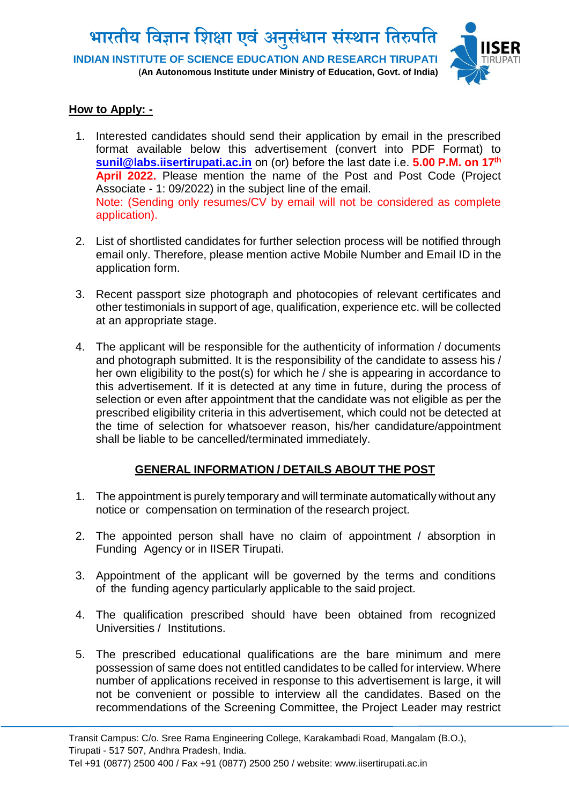**भारतीय विज्ञान विक्षा एिंअन ु संधान संस्थान वतरुपवत INDIAN INSTITUTE OF SCIENCE EDUCATION AND RESEARCH TIRUPATI (An Autonomous Institute under Ministry of Education, Govt. of India)**



## **How to Apply: -**

- 1. Interested candidates should send their application by email in the prescribed format available below this advertisement (convert into PDF Format) to **[sunil@labs.iisertirupati.ac.in](mailto:sunil@labs.iisertirupati.ac.in)** on (or) before the last date i.e. **5.00 P.M. on 17th April 2022.** Please mention the name of the Post and Post Code (Project Associate - 1: 09/2022) in the subject line of the email. Note: (Sending only resumes/CV by email will not be considered as complete application).
- 2. List of shortlisted candidates for further selection process will be notified through email only. Therefore, please mention active Mobile Number and Email ID in the application form.
- 3. Recent passport size photograph and photocopies of relevant certificates and other testimonials in support of age, qualification, experience etc. will be collected at an appropriate stage.
- 4. The applicant will be responsible for the authenticity of information / documents and photograph submitted. It is the responsibility of the candidate to assess his / her own eligibility to the post(s) for which he / she is appearing in accordance to this advertisement. If it is detected at any time in future, during the process of selection or even after appointment that the candidate was not eligible as per the prescribed eligibility criteria in this advertisement, which could not be detected at the time of selection for whatsoever reason, his/her candidature/appointment shall be liable to be cancelled/terminated immediately.

## **GENERAL INFORMATION / DETAILS ABOUT THE POST**

- 1. The appointment is purely temporary and will terminate automatically without any notice or compensation on termination of the research project.
- 2. The appointed person shall have no claim of appointment / absorption in Funding Agency or in IISER Tirupati.
- 3. Appointment of the applicant will be governed by the terms and conditions of the funding agency particularly applicable to the said project.
- 4. The qualification prescribed should have been obtained from recognized Universities / Institutions.
- 5. The prescribed educational qualifications are the bare minimum and mere possession of same does not entitled candidates to be called for interview. Where number of applications received in response to this advertisement is large, it will not be convenient or possible to interview all the candidates. Based on the recommendations of the Screening Committee, the Project Leader may restrict